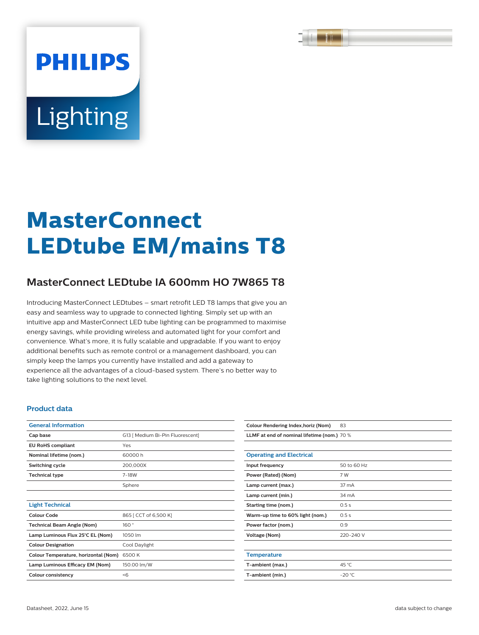# **PHILIPS** Lighting

# **MasterConnect LEDtube EM/mains T8**

# **MasterConnect LEDtube IA 600mm HO 7W865 T8**

Introducing MasterConnect LEDtubes – smart retrofit LED T8 lamps that give you an easy and seamless way to upgrade to connected lighting. Simply set up with an intuitive app and MasterConnect LED tube lighting can be programmed to maximise energy savings, while providing wireless and automated light for your comfort and convenience. What's more, it is fully scalable and upgradable. If you want to enjoy additional benefits such as remote control or a management dashboard, you can simply keep the lamps you currently have installed and add a gateway to experience all the advantages of a cloud-based system. There's no better way to take lighting solutions to the next level.

#### **Product data**

| G13 [ Medium Bi-Pin Fluorescent]              |  |  |  |  |
|-----------------------------------------------|--|--|--|--|
| Yes                                           |  |  |  |  |
| 60000 h                                       |  |  |  |  |
| 200,000X                                      |  |  |  |  |
| 7-18W                                         |  |  |  |  |
| Sphere                                        |  |  |  |  |
|                                               |  |  |  |  |
|                                               |  |  |  |  |
| 865   CCT of 6,500 K]                         |  |  |  |  |
| 160°                                          |  |  |  |  |
| 1050 lm                                       |  |  |  |  |
| Cool Daylight                                 |  |  |  |  |
| 6500K<br>Colour Temperature, horizontal (Nom) |  |  |  |  |
| 150.00 lm/W                                   |  |  |  |  |
| $<$ 6                                         |  |  |  |  |
|                                               |  |  |  |  |

| Colour Rendering Index, horiz (Nom)         | 83          |
|---------------------------------------------|-------------|
| LLMF at end of nominal lifetime (nom.) 70 % |             |
|                                             |             |
| <b>Operating and Electrical</b>             |             |
| Input frequency                             | 50 to 60 Hz |
| Power (Rated) (Nom)                         | 7 W         |
| Lamp current (max.)                         | 37 mA       |
| Lamp current (min.)                         | 34 mA       |
| Starting time (nom.)                        | 0.5s        |
| Warm-up time to 60% light (nom.)            | 0.5s        |
| Power factor (nom.)                         | 0.9         |
| <b>Voltage (Nom)</b>                        | 220-240 V   |
|                                             |             |
| <b>Temperature</b>                          |             |
| T-ambient (max.)                            | 45 °C       |
| T-ambient (min.)                            | $-20 °C$    |
|                                             |             |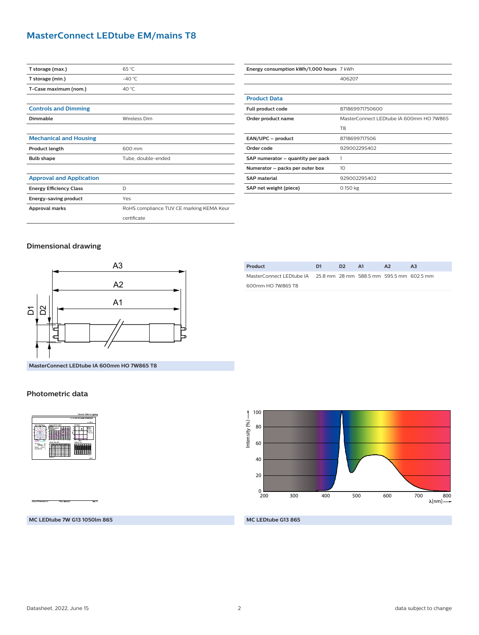## **MasterConnect LEDtube EM/mains T8**

| T storage (max.)                | 65 °C                                    |  |  |  |  |
|---------------------------------|------------------------------------------|--|--|--|--|
| T storage (min.)                | $-40^{\circ}$ C                          |  |  |  |  |
| T-Case maximum (nom.)           | 40 $°C$                                  |  |  |  |  |
|                                 |                                          |  |  |  |  |
| <b>Controls and Dimming</b>     |                                          |  |  |  |  |
| Dimmable                        | <b>Wireless Dim</b>                      |  |  |  |  |
|                                 |                                          |  |  |  |  |
| <b>Mechanical and Housing</b>   |                                          |  |  |  |  |
| Product length                  | 600 mm                                   |  |  |  |  |
| <b>Bulb shape</b>               | Tube, double-ended                       |  |  |  |  |
|                                 |                                          |  |  |  |  |
| <b>Approval and Application</b> |                                          |  |  |  |  |
| <b>Energy Efficiency Class</b>  | D                                        |  |  |  |  |
| Energy-saving product           | Yes                                      |  |  |  |  |
| Approval marks                  | RoHS compliance TUV CE marking KEMA Keur |  |  |  |  |
|                                 | certificate                              |  |  |  |  |
|                                 |                                          |  |  |  |  |

| Energy consumption kWh/1,000 hours 7 kWh |                                         |
|------------------------------------------|-----------------------------------------|
|                                          | 406207                                  |
|                                          |                                         |
| <b>Product Data</b>                      |                                         |
| Full product code                        | 871869971750600                         |
| Order product name                       | MasterConnect LEDtube IA 600mm HO 7W865 |
|                                          | T <sub>8</sub>                          |
| EAN/UPC - product                        | 8718699717506                           |
| Order code                               | 929002295402                            |
| SAP numerator - quantity per pack        |                                         |
| Numerator - packs per outer box          | 10 <sup>2</sup>                         |
| <b>SAP material</b>                      | 929002295402                            |
| SAP net weight (piece)                   | 0.150 kg                                |

#### **Dimensional drawing**

**Photometric data**

8



| Product                                                           | D <sub>1</sub> | D <sub>2</sub> | - A1 | A <sub>2</sub> | A3 |
|-------------------------------------------------------------------|----------------|----------------|------|----------------|----|
| MasterConnect LEDtube IA 25.8 mm 28 mm 588.5 mm 595.5 mm 602.5 mm |                |                |      |                |    |
| 600mm HO 7W865 T8                                                 |                |                |      |                |    |
|                                                                   |                |                |      |                |    |



**MC LEDtube 7W G13 1050lm 865**

**THE** 

**THE DEA** 

**MC LEDtube G13 865**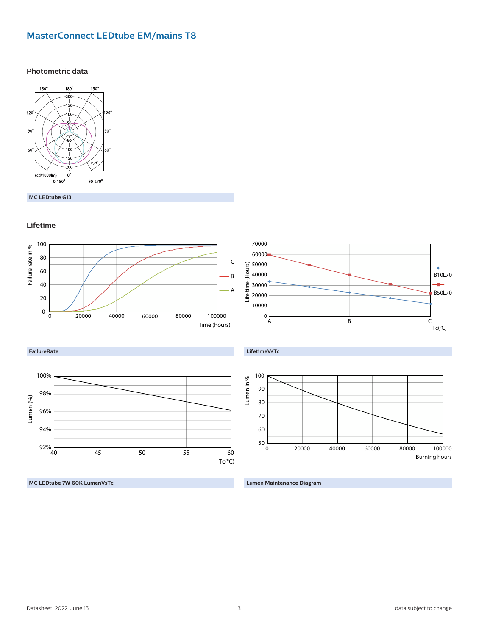## **MasterConnect LEDtube EM/mains T8**



**Photometric data**

#### **MC LEDtube G13**

**Lifetime**